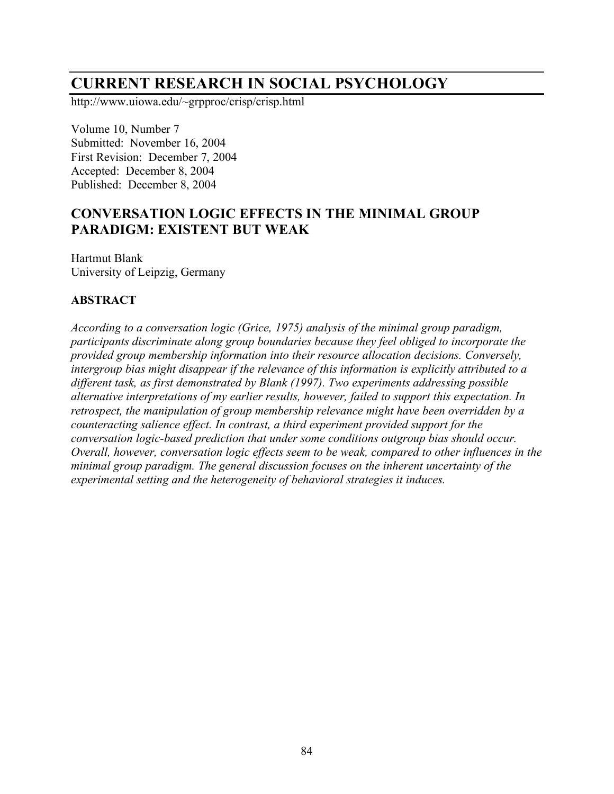# **CURRENT RESEARCH IN SOCIAL PSYCHOLOGY**

http://www.uiowa.edu/~grpproc/crisp/crisp.html

Volume 10, Number 7 Submitted: November 16, 2004 First Revision: December 7, 2004 Accepted: December 8, 2004 Published: December 8, 2004

## **CONVERSATION LOGIC EFFECTS IN THE MINIMAL GROUP PARADIGM: EXISTENT BUT WEAK**

Hartmut Blank University of Leipzig, Germany

## **ABSTRACT**

*According to a conversation logic (Grice, 1975) analysis of the minimal group paradigm, participants discriminate along group boundaries because they feel obliged to incorporate the provided group membership information into their resource allocation decisions. Conversely, intergroup bias might disappear if the relevance of this information is explicitly attributed to a different task, as first demonstrated by Blank (1997). Two experiments addressing possible alternative interpretations of my earlier results, however, failed to support this expectation. In retrospect, the manipulation of group membership relevance might have been overridden by a counteracting salience effect. In contrast, a third experiment provided support for the conversation logic-based prediction that under some conditions outgroup bias should occur. Overall, however, conversation logic effects seem to be weak, compared to other influences in the minimal group paradigm. The general discussion focuses on the inherent uncertainty of the experimental setting and the heterogeneity of behavioral strategies it induces.*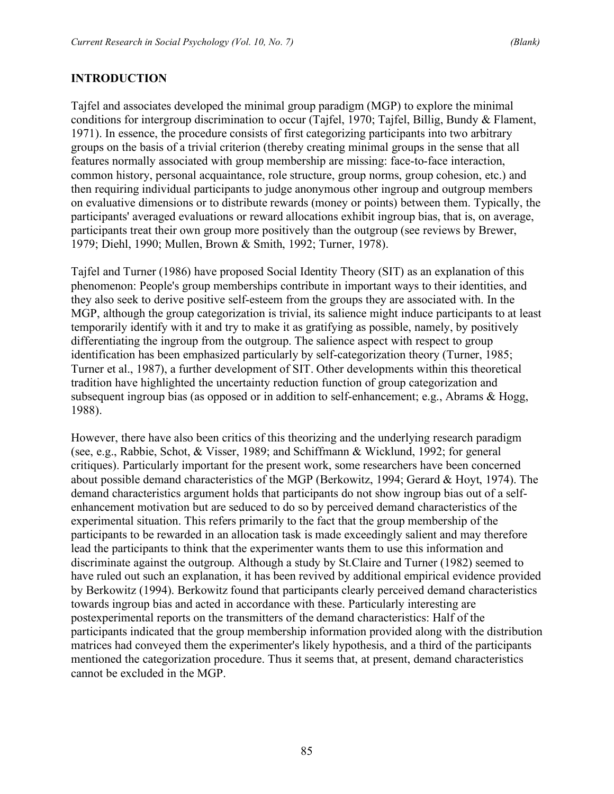## **INTRODUCTION**

Tajfel and associates developed the minimal group paradigm (MGP) to explore the minimal conditions for intergroup discrimination to occur (Tajfel, 1970; Tajfel, Billig, Bundy & Flament, 1971). In essence, the procedure consists of first categorizing participants into two arbitrary groups on the basis of a trivial criterion (thereby creating minimal groups in the sense that all features normally associated with group membership are missing: face-to-face interaction, common history, personal acquaintance, role structure, group norms, group cohesion, etc.) and then requiring individual participants to judge anonymous other ingroup and outgroup members on evaluative dimensions or to distribute rewards (money or points) between them. Typically, the participants' averaged evaluations or reward allocations exhibit ingroup bias, that is, on average, participants treat their own group more positively than the outgroup (see reviews by Brewer, 1979; Diehl, 1990; Mullen, Brown & Smith, 1992; Turner, 1978).

Tajfel and Turner (1986) have proposed Social Identity Theory (SIT) as an explanation of this phenomenon: People's group memberships contribute in important ways to their identities, and they also seek to derive positive self-esteem from the groups they are associated with. In the MGP, although the group categorization is trivial, its salience might induce participants to at least temporarily identify with it and try to make it as gratifying as possible, namely, by positively differentiating the ingroup from the outgroup. The salience aspect with respect to group identification has been emphasized particularly by self-categorization theory (Turner, 1985; Turner et al., 1987), a further development of SIT. Other developments within this theoretical tradition have highlighted the uncertainty reduction function of group categorization and subsequent ingroup bias (as opposed or in addition to self-enhancement; e.g., Abrams & Hogg, 1988).

However, there have also been critics of this theorizing and the underlying research paradigm (see, e.g., Rabbie, Schot, & Visser, 1989; and Schiffmann & Wicklund, 1992; for general critiques). Particularly important for the present work, some researchers have been concerned about possible demand characteristics of the MGP (Berkowitz, 1994; Gerard & Hoyt, 1974). The demand characteristics argument holds that participants do not show ingroup bias out of a selfenhancement motivation but are seduced to do so by perceived demand characteristics of the experimental situation. This refers primarily to the fact that the group membership of the participants to be rewarded in an allocation task is made exceedingly salient and may therefore lead the participants to think that the experimenter wants them to use this information and discriminate against the outgroup. Although a study by St.Claire and Turner (1982) seemed to have ruled out such an explanation, it has been revived by additional empirical evidence provided by Berkowitz (1994). Berkowitz found that participants clearly perceived demand characteristics towards ingroup bias and acted in accordance with these. Particularly interesting are postexperimental reports on the transmitters of the demand characteristics: Half of the participants indicated that the group membership information provided along with the distribution matrices had conveyed them the experimenter's likely hypothesis, and a third of the participants mentioned the categorization procedure. Thus it seems that, at present, demand characteristics cannot be excluded in the MGP.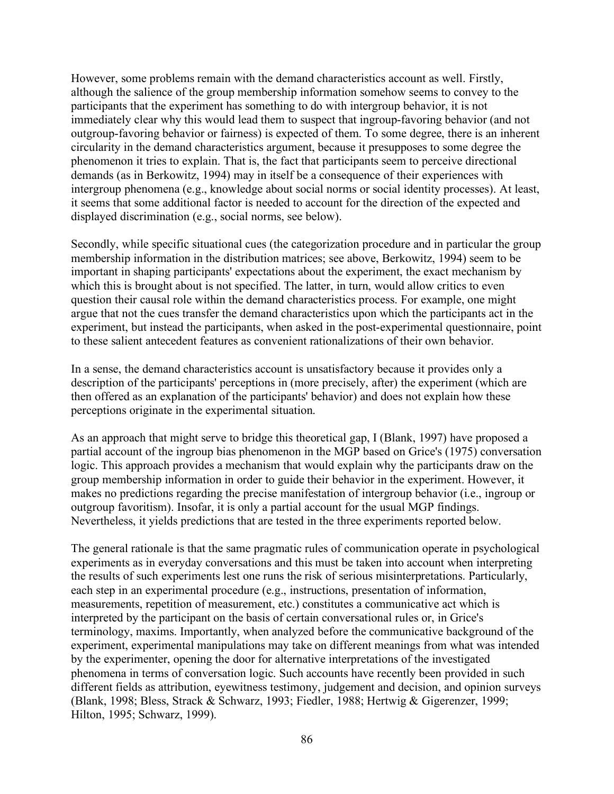However, some problems remain with the demand characteristics account as well. Firstly, although the salience of the group membership information somehow seems to convey to the participants that the experiment has something to do with intergroup behavior, it is not immediately clear why this would lead them to suspect that ingroup-favoring behavior (and not outgroup-favoring behavior or fairness) is expected of them. To some degree, there is an inherent circularity in the demand characteristics argument, because it presupposes to some degree the phenomenon it tries to explain. That is, the fact that participants seem to perceive directional demands (as in Berkowitz, 1994) may in itself be a consequence of their experiences with intergroup phenomena (e.g., knowledge about social norms or social identity processes). At least, it seems that some additional factor is needed to account for the direction of the expected and displayed discrimination (e.g., social norms, see below).

Secondly, while specific situational cues (the categorization procedure and in particular the group membership information in the distribution matrices; see above, Berkowitz, 1994) seem to be important in shaping participants' expectations about the experiment, the exact mechanism by which this is brought about is not specified. The latter, in turn, would allow critics to even question their causal role within the demand characteristics process. For example, one might argue that not the cues transfer the demand characteristics upon which the participants act in the experiment, but instead the participants, when asked in the post-experimental questionnaire, point to these salient antecedent features as convenient rationalizations of their own behavior.

In a sense, the demand characteristics account is unsatisfactory because it provides only a description of the participants' perceptions in (more precisely, after) the experiment (which are then offered as an explanation of the participants' behavior) and does not explain how these perceptions originate in the experimental situation.

As an approach that might serve to bridge this theoretical gap, I (Blank, 1997) have proposed a partial account of the ingroup bias phenomenon in the MGP based on Grice's (1975) conversation logic. This approach provides a mechanism that would explain why the participants draw on the group membership information in order to guide their behavior in the experiment. However, it makes no predictions regarding the precise manifestation of intergroup behavior (i.e., ingroup or outgroup favoritism). Insofar, it is only a partial account for the usual MGP findings. Nevertheless, it yields predictions that are tested in the three experiments reported below.

The general rationale is that the same pragmatic rules of communication operate in psychological experiments as in everyday conversations and this must be taken into account when interpreting the results of such experiments lest one runs the risk of serious misinterpretations. Particularly, each step in an experimental procedure (e.g., instructions, presentation of information, measurements, repetition of measurement, etc.) constitutes a communicative act which is interpreted by the participant on the basis of certain conversational rules or, in Grice's terminology, maxims. Importantly, when analyzed before the communicative background of the experiment, experimental manipulations may take on different meanings from what was intended by the experimenter, opening the door for alternative interpretations of the investigated phenomena in terms of conversation logic. Such accounts have recently been provided in such different fields as attribution, eyewitness testimony, judgement and decision, and opinion surveys (Blank, 1998; Bless, Strack & Schwarz, 1993; Fiedler, 1988; Hertwig & Gigerenzer, 1999; Hilton, 1995; Schwarz, 1999).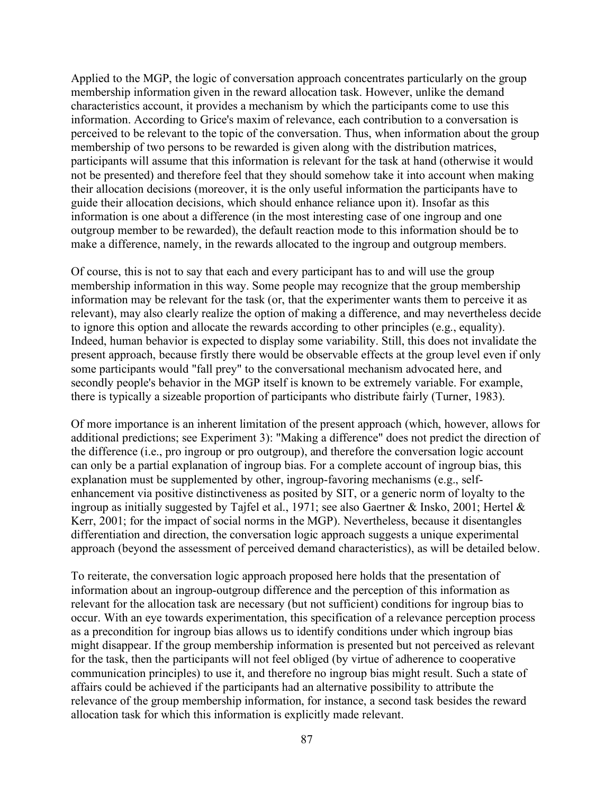Applied to the MGP, the logic of conversation approach concentrates particularly on the group membership information given in the reward allocation task. However, unlike the demand characteristics account, it provides a mechanism by which the participants come to use this information. According to Grice's maxim of relevance, each contribution to a conversation is perceived to be relevant to the topic of the conversation. Thus, when information about the group membership of two persons to be rewarded is given along with the distribution matrices, participants will assume that this information is relevant for the task at hand (otherwise it would not be presented) and therefore feel that they should somehow take it into account when making their allocation decisions (moreover, it is the only useful information the participants have to guide their allocation decisions, which should enhance reliance upon it). Insofar as this information is one about a difference (in the most interesting case of one ingroup and one outgroup member to be rewarded), the default reaction mode to this information should be to make a difference, namely, in the rewards allocated to the ingroup and outgroup members.

Of course, this is not to say that each and every participant has to and will use the group membership information in this way. Some people may recognize that the group membership information may be relevant for the task (or, that the experimenter wants them to perceive it as relevant), may also clearly realize the option of making a difference, and may nevertheless decide to ignore this option and allocate the rewards according to other principles (e.g., equality). Indeed, human behavior is expected to display some variability. Still, this does not invalidate the present approach, because firstly there would be observable effects at the group level even if only some participants would "fall prey" to the conversational mechanism advocated here, and secondly people's behavior in the MGP itself is known to be extremely variable. For example, there is typically a sizeable proportion of participants who distribute fairly (Turner, 1983).

Of more importance is an inherent limitation of the present approach (which, however, allows for additional predictions; see Experiment 3): "Making a difference" does not predict the direction of the difference (i.e., pro ingroup or pro outgroup), and therefore the conversation logic account can only be a partial explanation of ingroup bias. For a complete account of ingroup bias, this explanation must be supplemented by other, ingroup-favoring mechanisms (e.g., selfenhancement via positive distinctiveness as posited by SIT, or a generic norm of loyalty to the ingroup as initially suggested by Tajfel et al., 1971; see also Gaertner & Insko, 2001; Hertel & Kerr, 2001; for the impact of social norms in the MGP). Nevertheless, because it disentangles differentiation and direction, the conversation logic approach suggests a unique experimental approach (beyond the assessment of perceived demand characteristics), as will be detailed below.

To reiterate, the conversation logic approach proposed here holds that the presentation of information about an ingroup-outgroup difference and the perception of this information as relevant for the allocation task are necessary (but not sufficient) conditions for ingroup bias to occur. With an eye towards experimentation, this specification of a relevance perception process as a precondition for ingroup bias allows us to identify conditions under which ingroup bias might disappear. If the group membership information is presented but not perceived as relevant for the task, then the participants will not feel obliged (by virtue of adherence to cooperative communication principles) to use it, and therefore no ingroup bias might result. Such a state of affairs could be achieved if the participants had an alternative possibility to attribute the relevance of the group membership information, for instance, a second task besides the reward allocation task for which this information is explicitly made relevant.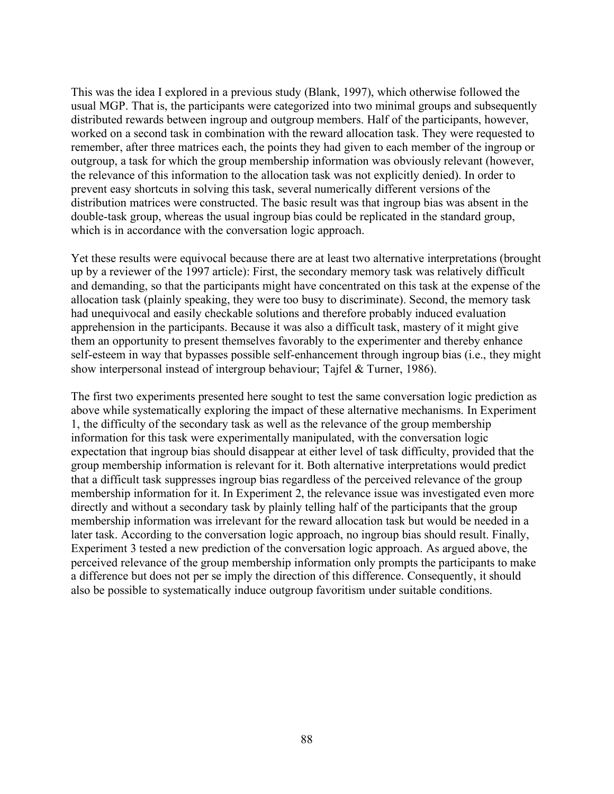This was the idea I explored in a previous study (Blank, 1997), which otherwise followed the usual MGP. That is, the participants were categorized into two minimal groups and subsequently distributed rewards between ingroup and outgroup members. Half of the participants, however, worked on a second task in combination with the reward allocation task. They were requested to remember, after three matrices each, the points they had given to each member of the ingroup or outgroup, a task for which the group membership information was obviously relevant (however, the relevance of this information to the allocation task was not explicitly denied). In order to prevent easy shortcuts in solving this task, several numerically different versions of the distribution matrices were constructed. The basic result was that ingroup bias was absent in the double-task group, whereas the usual ingroup bias could be replicated in the standard group, which is in accordance with the conversation logic approach.

Yet these results were equivocal because there are at least two alternative interpretations (brought up by a reviewer of the 1997 article): First, the secondary memory task was relatively difficult and demanding, so that the participants might have concentrated on this task at the expense of the allocation task (plainly speaking, they were too busy to discriminate). Second, the memory task had unequivocal and easily checkable solutions and therefore probably induced evaluation apprehension in the participants. Because it was also a difficult task, mastery of it might give them an opportunity to present themselves favorably to the experimenter and thereby enhance self-esteem in way that bypasses possible self-enhancement through ingroup bias (i.e., they might show interpersonal instead of intergroup behaviour; Tajfel & Turner, 1986).

The first two experiments presented here sought to test the same conversation logic prediction as above while systematically exploring the impact of these alternative mechanisms. In Experiment 1, the difficulty of the secondary task as well as the relevance of the group membership information for this task were experimentally manipulated, with the conversation logic expectation that ingroup bias should disappear at either level of task difficulty, provided that the group membership information is relevant for it. Both alternative interpretations would predict that a difficult task suppresses ingroup bias regardless of the perceived relevance of the group membership information for it. In Experiment 2, the relevance issue was investigated even more directly and without a secondary task by plainly telling half of the participants that the group membership information was irrelevant for the reward allocation task but would be needed in a later task. According to the conversation logic approach, no ingroup bias should result. Finally, Experiment 3 tested a new prediction of the conversation logic approach. As argued above, the perceived relevance of the group membership information only prompts the participants to make a difference but does not per se imply the direction of this difference. Consequently, it should also be possible to systematically induce outgroup favoritism under suitable conditions.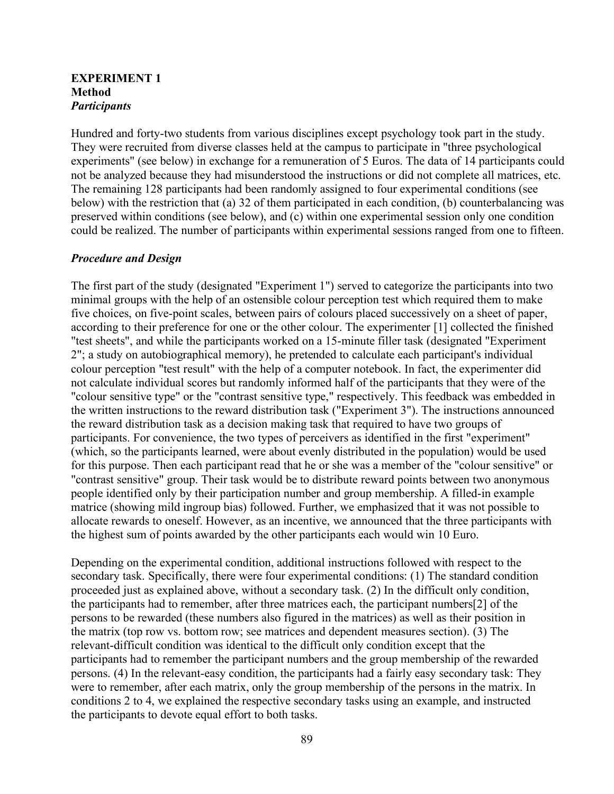#### **EXPERIMENT 1 Method** *Participants*

Hundred and forty-two students from various disciplines except psychology took part in the study. They were recruited from diverse classes held at the campus to participate in "three psychological experiments" (see below) in exchange for a remuneration of 5 Euros. The data of 14 participants could not be analyzed because they had misunderstood the instructions or did not complete all matrices, etc. The remaining 128 participants had been randomly assigned to four experimental conditions (see below) with the restriction that (a) 32 of them participated in each condition, (b) counterbalancing was preserved within conditions (see below), and (c) within one experimental session only one condition could be realized. The number of participants within experimental sessions ranged from one to fifteen.

#### *Procedure and Design*

The first part of the study (designated "Experiment 1") served to categorize the participants into two minimal groups with the help of an ostensible colour perception test which required them to make five choices, on five-point scales, between pairs of colours placed successively on a sheet of paper, according to their preference for one or the other colour. The experimenter [1] collected the finished "test sheets", and while the participants worked on a 15-minute filler task (designated "Experiment 2"; a study on autobiographical memory), he pretended to calculate each participant's individual colour perception "test result" with the help of a computer notebook. In fact, the experimenter did not calculate individual scores but randomly informed half of the participants that they were of the "colour sensitive type" or the "contrast sensitive type," respectively. This feedback was embedded in the written instructions to the reward distribution task ("Experiment 3"). The instructions announced the reward distribution task as a decision making task that required to have two groups of participants. For convenience, the two types of perceivers as identified in the first "experiment" (which, so the participants learned, were about evenly distributed in the population) would be used for this purpose. Then each participant read that he or she was a member of the "colour sensitive" or "contrast sensitive" group. Their task would be to distribute reward points between two anonymous people identified only by their participation number and group membership. A filled-in example matrice (showing mild ingroup bias) followed. Further, we emphasized that it was not possible to allocate rewards to oneself. However, as an incentive, we announced that the three participants with the highest sum of points awarded by the other participants each would win 10 Euro.

Depending on the experimental condition, additional instructions followed with respect to the secondary task. Specifically, there were four experimental conditions: (1) The standard condition proceeded just as explained above, without a secondary task. (2) In the difficult only condition, the participants had to remember, after three matrices each, the participant numbers[2] of the persons to be rewarded (these numbers also figured in the matrices) as well as their position in the matrix (top row vs. bottom row; see matrices and dependent measures section). (3) The relevant-difficult condition was identical to the difficult only condition except that the participants had to remember the participant numbers and the group membership of the rewarded persons. (4) In the relevant-easy condition, the participants had a fairly easy secondary task: They were to remember, after each matrix, only the group membership of the persons in the matrix. In conditions 2 to 4, we explained the respective secondary tasks using an example, and instructed the participants to devote equal effort to both tasks.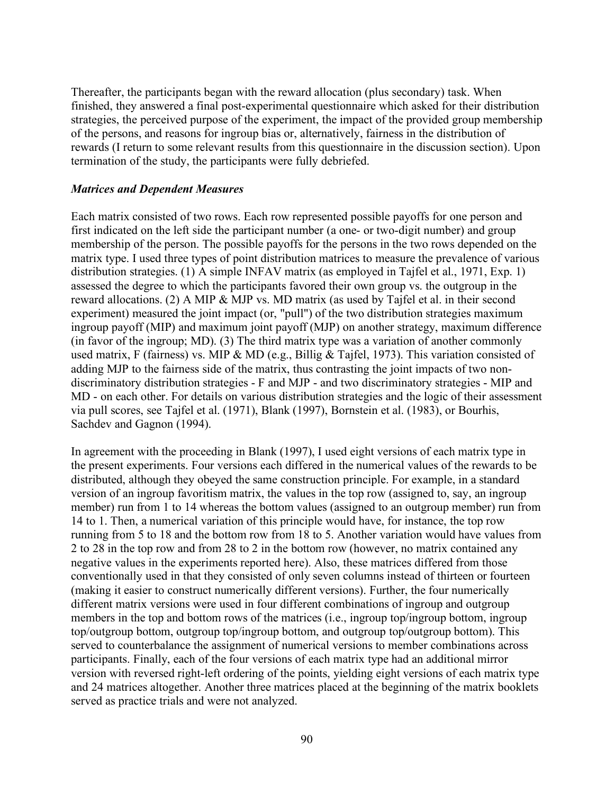Thereafter, the participants began with the reward allocation (plus secondary) task. When finished, they answered a final post-experimental questionnaire which asked for their distribution strategies, the perceived purpose of the experiment, the impact of the provided group membership of the persons, and reasons for ingroup bias or, alternatively, fairness in the distribution of rewards (I return to some relevant results from this questionnaire in the discussion section). Upon termination of the study, the participants were fully debriefed.

#### *Matrices and Dependent Measures*

Each matrix consisted of two rows. Each row represented possible payoffs for one person and first indicated on the left side the participant number (a one- or two-digit number) and group membership of the person. The possible payoffs for the persons in the two rows depended on the matrix type. I used three types of point distribution matrices to measure the prevalence of various distribution strategies. (1) A simple INFAV matrix (as employed in Tajfel et al., 1971, Exp. 1) assessed the degree to which the participants favored their own group vs. the outgroup in the reward allocations. (2) A MIP & MJP vs. MD matrix (as used by Tajfel et al. in their second experiment) measured the joint impact (or, "pull") of the two distribution strategies maximum ingroup payoff (MIP) and maximum joint payoff (MJP) on another strategy, maximum difference (in favor of the ingroup; MD). (3) The third matrix type was a variation of another commonly used matrix, F (fairness) vs. MIP & MD (e.g., Billig & Tajfel, 1973). This variation consisted of adding MJP to the fairness side of the matrix, thus contrasting the joint impacts of two nondiscriminatory distribution strategies - F and MJP - and two discriminatory strategies - MIP and MD - on each other. For details on various distribution strategies and the logic of their assessment via pull scores, see Tajfel et al. (1971), Blank (1997), Bornstein et al. (1983), or Bourhis, Sachdev and Gagnon (1994).

In agreement with the proceeding in Blank (1997), I used eight versions of each matrix type in the present experiments. Four versions each differed in the numerical values of the rewards to be distributed, although they obeyed the same construction principle. For example, in a standard version of an ingroup favoritism matrix, the values in the top row (assigned to, say, an ingroup member) run from 1 to 14 whereas the bottom values (assigned to an outgroup member) run from 14 to 1. Then, a numerical variation of this principle would have, for instance, the top row running from 5 to 18 and the bottom row from 18 to 5. Another variation would have values from 2 to 28 in the top row and from 28 to 2 in the bottom row (however, no matrix contained any negative values in the experiments reported here). Also, these matrices differed from those conventionally used in that they consisted of only seven columns instead of thirteen or fourteen (making it easier to construct numerically different versions). Further, the four numerically different matrix versions were used in four different combinations of ingroup and outgroup members in the top and bottom rows of the matrices (i.e., ingroup top/ingroup bottom, ingroup top/outgroup bottom, outgroup top/ingroup bottom, and outgroup top/outgroup bottom). This served to counterbalance the assignment of numerical versions to member combinations across participants. Finally, each of the four versions of each matrix type had an additional mirror version with reversed right-left ordering of the points, yielding eight versions of each matrix type and 24 matrices altogether. Another three matrices placed at the beginning of the matrix booklets served as practice trials and were not analyzed.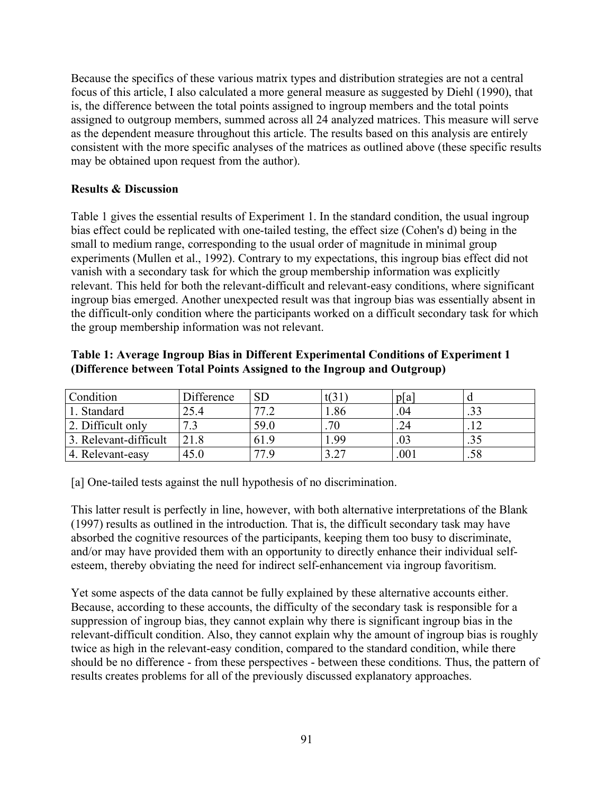Because the specifics of these various matrix types and distribution strategies are not a central focus of this article, I also calculated a more general measure as suggested by Diehl (1990), that is, the difference between the total points assigned to ingroup members and the total points assigned to outgroup members, summed across all 24 analyzed matrices. This measure will serve as the dependent measure throughout this article. The results based on this analysis are entirely consistent with the more specific analyses of the matrices as outlined above (these specific results may be obtained upon request from the author).

## **Results & Discussion**

Table 1 gives the essential results of Experiment 1. In the standard condition, the usual ingroup bias effect could be replicated with one-tailed testing, the effect size (Cohen's d) being in the small to medium range, corresponding to the usual order of magnitude in minimal group experiments (Mullen et al., 1992). Contrary to my expectations, this ingroup bias effect did not vanish with a secondary task for which the group membership information was explicitly relevant. This held for both the relevant-difficult and relevant-easy conditions, where significant ingroup bias emerged. Another unexpected result was that ingroup bias was essentially absent in the difficult-only condition where the participants worked on a difficult secondary task for which the group membership information was not relevant.

## **Table 1: Average Ingroup Bias in Different Experimental Conditions of Experiment 1 (Difference between Total Points Assigned to the Ingroup and Outgroup)**

| Condition             | Difference | $\overline{\text{SL}}$          | t(31) | pa      |      |
|-----------------------|------------|---------------------------------|-------|---------|------|
| Standard              | 25.4       | 77.<br>$\overline{\phantom{a}}$ | 1.86  | .04     | ر ر. |
| 2. Difficult only     |            | 59.0                            | .70   |         |      |
| 3. Relevant-difficult |            | 61.9                            | -99   |         |      |
| 4. Relevant-easy      | 45.0       | 77 Q                            | າ າາ  | $.00\,$ | .58  |

[a] One-tailed tests against the null hypothesis of no discrimination.

This latter result is perfectly in line, however, with both alternative interpretations of the Blank (1997) results as outlined in the introduction. That is, the difficult secondary task may have absorbed the cognitive resources of the participants, keeping them too busy to discriminate, and/or may have provided them with an opportunity to directly enhance their individual selfesteem, thereby obviating the need for indirect self-enhancement via ingroup favoritism.

Yet some aspects of the data cannot be fully explained by these alternative accounts either. Because, according to these accounts, the difficulty of the secondary task is responsible for a suppression of ingroup bias, they cannot explain why there is significant ingroup bias in the relevant-difficult condition. Also, they cannot explain why the amount of ingroup bias is roughly twice as high in the relevant-easy condition, compared to the standard condition, while there should be no difference - from these perspectives - between these conditions. Thus, the pattern of results creates problems for all of the previously discussed explanatory approaches.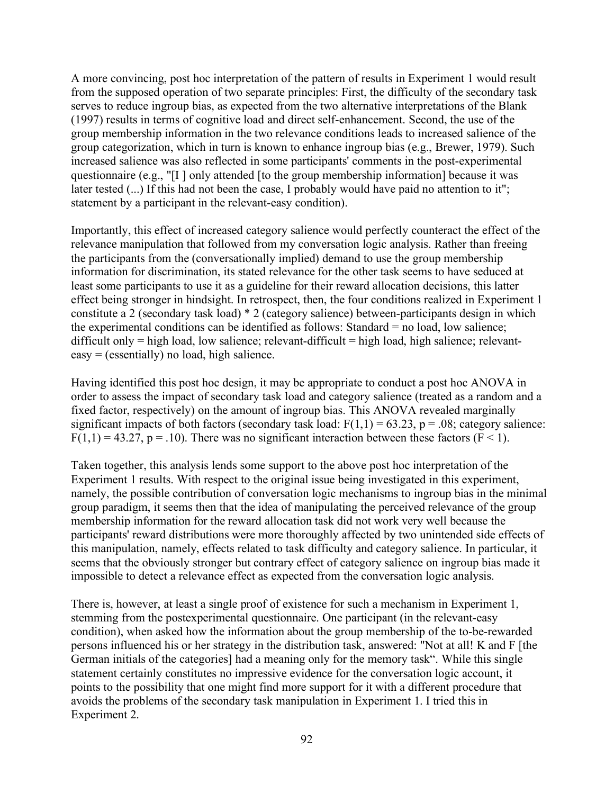A more convincing, post hoc interpretation of the pattern of results in Experiment 1 would result from the supposed operation of two separate principles: First, the difficulty of the secondary task serves to reduce ingroup bias, as expected from the two alternative interpretations of the Blank (1997) results in terms of cognitive load and direct self-enhancement. Second, the use of the group membership information in the two relevance conditions leads to increased salience of the group categorization, which in turn is known to enhance ingroup bias (e.g., Brewer, 1979). Such increased salience was also reflected in some participants' comments in the post-experimental questionnaire (e.g., "[I ] only attended [to the group membership information] because it was later tested  $(...)$  If this had not been the case, I probably would have paid no attention to it"; statement by a participant in the relevant-easy condition).

Importantly, this effect of increased category salience would perfectly counteract the effect of the relevance manipulation that followed from my conversation logic analysis. Rather than freeing the participants from the (conversationally implied) demand to use the group membership information for discrimination, its stated relevance for the other task seems to have seduced at least some participants to use it as a guideline for their reward allocation decisions, this latter effect being stronger in hindsight. In retrospect, then, the four conditions realized in Experiment 1 constitute a 2 (secondary task load) \* 2 (category salience) between-participants design in which the experimental conditions can be identified as follows: Standard = no load, low salience; difficult only  $=$  high load, low salience; relevant-difficult  $=$  high load, high salience; relevanteasy = (essentially) no load, high salience.

Having identified this post hoc design, it may be appropriate to conduct a post hoc ANOVA in order to assess the impact of secondary task load and category salience (treated as a random and a fixed factor, respectively) on the amount of ingroup bias. This ANOVA revealed marginally significant impacts of both factors (secondary task load:  $F(1,1) = 63.23$ ,  $p = .08$ ; category salience:  $F(1,1) = 43.27$ ,  $p = .10$ ). There was no significant interaction between these factors (F < 1).

Taken together, this analysis lends some support to the above post hoc interpretation of the Experiment 1 results. With respect to the original issue being investigated in this experiment, namely, the possible contribution of conversation logic mechanisms to ingroup bias in the minimal group paradigm, it seems then that the idea of manipulating the perceived relevance of the group membership information for the reward allocation task did not work very well because the participants' reward distributions were more thoroughly affected by two unintended side effects of this manipulation, namely, effects related to task difficulty and category salience. In particular, it seems that the obviously stronger but contrary effect of category salience on ingroup bias made it impossible to detect a relevance effect as expected from the conversation logic analysis.

There is, however, at least a single proof of existence for such a mechanism in Experiment 1, stemming from the postexperimental questionnaire. One participant (in the relevant-easy condition), when asked how the information about the group membership of the to-be-rewarded persons influenced his or her strategy in the distribution task, answered: "Not at all! K and F [the German initials of the categories] had a meaning only for the memory task". While this single statement certainly constitutes no impressive evidence for the conversation logic account, it points to the possibility that one might find more support for it with a different procedure that avoids the problems of the secondary task manipulation in Experiment 1. I tried this in Experiment 2.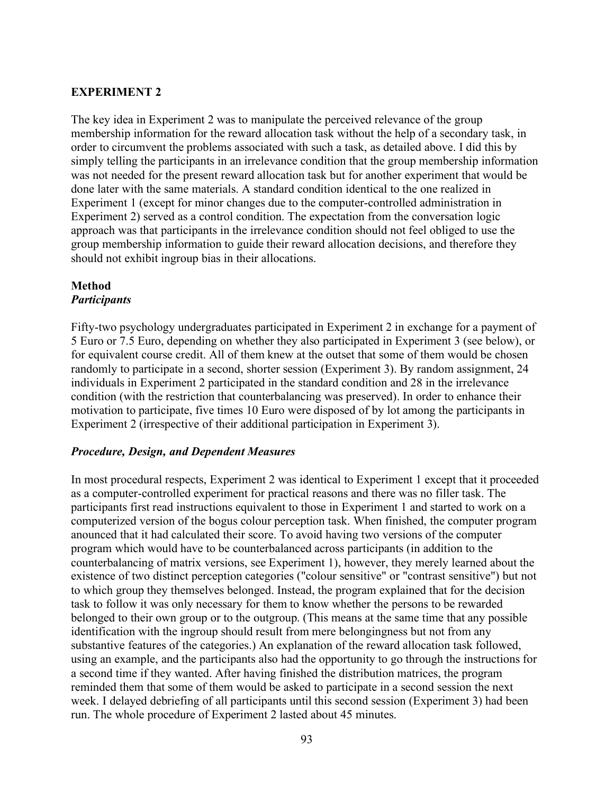## **EXPERIMENT 2**

The key idea in Experiment 2 was to manipulate the perceived relevance of the group membership information for the reward allocation task without the help of a secondary task, in order to circumvent the problems associated with such a task, as detailed above. I did this by simply telling the participants in an irrelevance condition that the group membership information was not needed for the present reward allocation task but for another experiment that would be done later with the same materials. A standard condition identical to the one realized in Experiment 1 (except for minor changes due to the computer-controlled administration in Experiment 2) served as a control condition. The expectation from the conversation logic approach was that participants in the irrelevance condition should not feel obliged to use the group membership information to guide their reward allocation decisions, and therefore they should not exhibit ingroup bias in their allocations.

#### **Method** *Participants*

Fifty-two psychology undergraduates participated in Experiment 2 in exchange for a payment of 5 Euro or 7.5 Euro, depending on whether they also participated in Experiment 3 (see below), or for equivalent course credit. All of them knew at the outset that some of them would be chosen randomly to participate in a second, shorter session (Experiment 3). By random assignment, 24 individuals in Experiment 2 participated in the standard condition and 28 in the irrelevance condition (with the restriction that counterbalancing was preserved). In order to enhance their motivation to participate, five times 10 Euro were disposed of by lot among the participants in Experiment 2 (irrespective of their additional participation in Experiment 3).

#### *Procedure, Design, and Dependent Measures*

In most procedural respects, Experiment 2 was identical to Experiment 1 except that it proceeded as a computer-controlled experiment for practical reasons and there was no filler task. The participants first read instructions equivalent to those in Experiment 1 and started to work on a computerized version of the bogus colour perception task. When finished, the computer program anounced that it had calculated their score. To avoid having two versions of the computer program which would have to be counterbalanced across participants (in addition to the counterbalancing of matrix versions, see Experiment 1), however, they merely learned about the existence of two distinct perception categories ("colour sensitive" or "contrast sensitive") but not to which group they themselves belonged. Instead, the program explained that for the decision task to follow it was only necessary for them to know whether the persons to be rewarded belonged to their own group or to the outgroup. (This means at the same time that any possible identification with the ingroup should result from mere belongingness but not from any substantive features of the categories.) An explanation of the reward allocation task followed, using an example, and the participants also had the opportunity to go through the instructions for a second time if they wanted. After having finished the distribution matrices, the program reminded them that some of them would be asked to participate in a second session the next week. I delayed debriefing of all participants until this second session (Experiment 3) had been run. The whole procedure of Experiment 2 lasted about 45 minutes.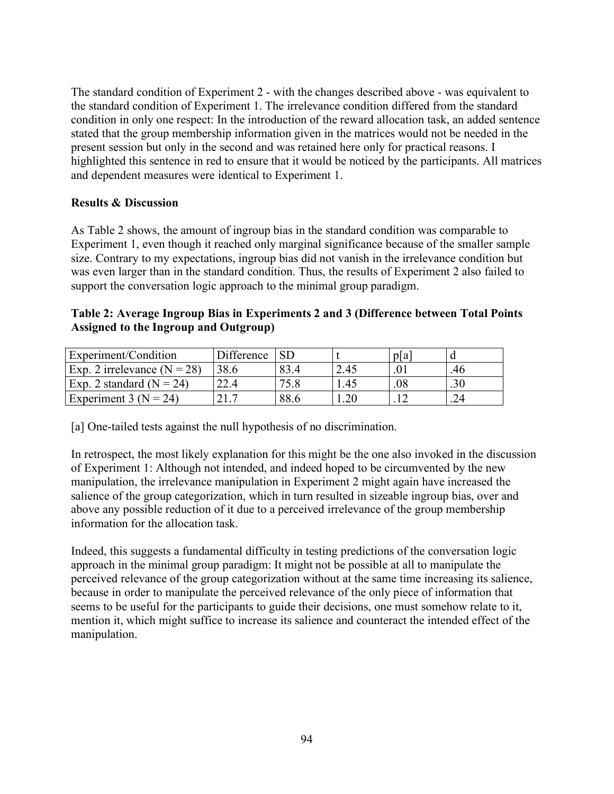The standard condition of Experiment 2 - with the changes described above - was equivalent to the standard condition of Experiment 1. The irrelevance condition differed from the standard condition in only one respect: In the introduction of the reward allocation task, an added sentence stated that the group membership information given in the matrices would not be needed in the present session but only in the second and was retained here only for practical reasons. I highlighted this sentence in red to ensure that it would be noticed by the participants. All matrices and dependent measures were identical to Experiment 1.

## **Results & Discussion**

As Table 2 shows, the amount of ingroup bias in the standard condition was comparable to Experiment 1, even though it reached only marginal significance because of the smaller sample size. Contrary to my expectations, ingroup bias did not vanish in the irrelevance condition but was even larger than in the standard condition. Thus, the results of Experiment 2 also failed to support the conversation logic approach to the minimal group paradigm.

#### **Table 2: Average Ingroup Bias in Experiments 2 and 3 (Difference between Total Points Assigned to the Ingroup and Outgroup)**

| Experiment/Condition          | Difference  |      |      | pla |     |
|-------------------------------|-------------|------|------|-----|-----|
| Exp. 2 irrelevance $(N = 28)$ | 38.6        |      | 2.45 |     | .46 |
| Exp. 2 standard ( $N = 24$ )  |             |      | .45  | .08 |     |
| Experiment 3 ( $N = 24$ )     | $\gamma$ 17 | 88.6 |      |     |     |

[a] One-tailed tests against the null hypothesis of no discrimination.

In retrospect, the most likely explanation for this might be the one also invoked in the discussion of Experiment 1: Although not intended, and indeed hoped to be circumvented by the new manipulation, the irrelevance manipulation in Experiment 2 might again have increased the salience of the group categorization, which in turn resulted in sizeable ingroup bias, over and above any possible reduction of it due to a perceived irrelevance of the group membership information for the allocation task.

Indeed, this suggests a fundamental difficulty in testing predictions of the conversation logic approach in the minimal group paradigm: It might not be possible at all to manipulate the perceived relevance of the group categorization without at the same time increasing its salience, because in order to manipulate the perceived relevance of the only piece of information that seems to be useful for the participants to guide their decisions, one must somehow relate to it, mention it, which might suffice to increase its salience and counteract the intended effect of the manipulation.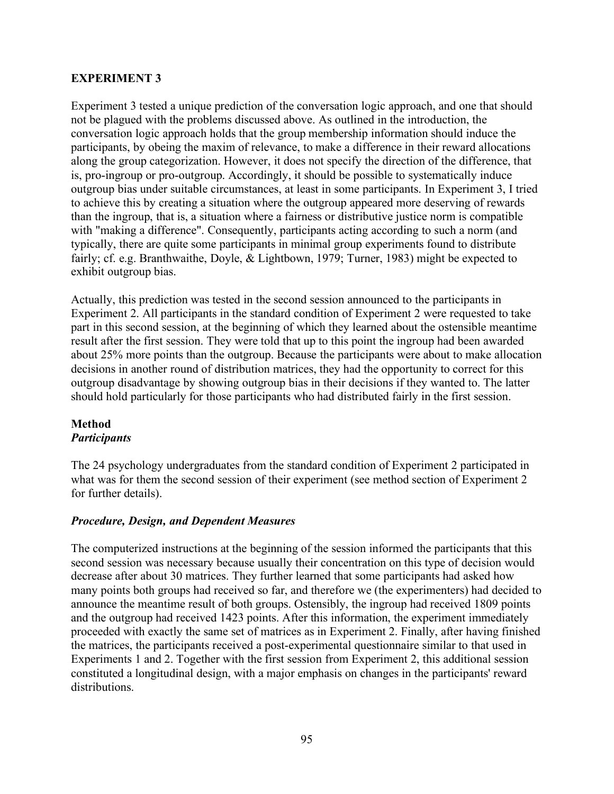## **EXPERIMENT 3**

Experiment 3 tested a unique prediction of the conversation logic approach, and one that should not be plagued with the problems discussed above. As outlined in the introduction, the conversation logic approach holds that the group membership information should induce the participants, by obeing the maxim of relevance, to make a difference in their reward allocations along the group categorization. However, it does not specify the direction of the difference, that is, pro-ingroup or pro-outgroup. Accordingly, it should be possible to systematically induce outgroup bias under suitable circumstances, at least in some participants. In Experiment 3, I tried to achieve this by creating a situation where the outgroup appeared more deserving of rewards than the ingroup, that is, a situation where a fairness or distributive justice norm is compatible with "making a difference". Consequently, participants acting according to such a norm (and typically, there are quite some participants in minimal group experiments found to distribute fairly; cf. e.g. Branthwaithe, Doyle, & Lightbown, 1979; Turner, 1983) might be expected to exhibit outgroup bias.

Actually, this prediction was tested in the second session announced to the participants in Experiment 2. All participants in the standard condition of Experiment 2 were requested to take part in this second session, at the beginning of which they learned about the ostensible meantime result after the first session. They were told that up to this point the ingroup had been awarded about 25% more points than the outgroup. Because the participants were about to make allocation decisions in another round of distribution matrices, they had the opportunity to correct for this outgroup disadvantage by showing outgroup bias in their decisions if they wanted to. The latter should hold particularly for those participants who had distributed fairly in the first session.

## **Method** *Participants*

The 24 psychology undergraduates from the standard condition of Experiment 2 participated in what was for them the second session of their experiment (see method section of Experiment 2 for further details).

## *Procedure, Design, and Dependent Measures*

The computerized instructions at the beginning of the session informed the participants that this second session was necessary because usually their concentration on this type of decision would decrease after about 30 matrices. They further learned that some participants had asked how many points both groups had received so far, and therefore we (the experimenters) had decided to announce the meantime result of both groups. Ostensibly, the ingroup had received 1809 points and the outgroup had received 1423 points. After this information, the experiment immediately proceeded with exactly the same set of matrices as in Experiment 2. Finally, after having finished the matrices, the participants received a post-experimental questionnaire similar to that used in Experiments 1 and 2. Together with the first session from Experiment 2, this additional session constituted a longitudinal design, with a major emphasis on changes in the participants' reward distributions.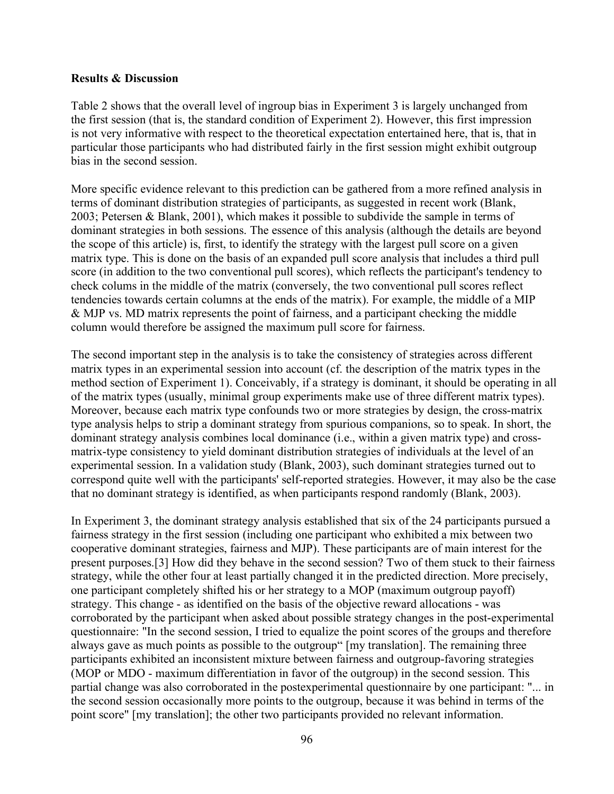#### **Results & Discussion**

Table 2 shows that the overall level of ingroup bias in Experiment 3 is largely unchanged from the first session (that is, the standard condition of Experiment 2). However, this first impression is not very informative with respect to the theoretical expectation entertained here, that is, that in particular those participants who had distributed fairly in the first session might exhibit outgroup bias in the second session.

More specific evidence relevant to this prediction can be gathered from a more refined analysis in terms of dominant distribution strategies of participants, as suggested in recent work (Blank, 2003; Petersen & Blank, 2001), which makes it possible to subdivide the sample in terms of dominant strategies in both sessions. The essence of this analysis (although the details are beyond the scope of this article) is, first, to identify the strategy with the largest pull score on a given matrix type. This is done on the basis of an expanded pull score analysis that includes a third pull score (in addition to the two conventional pull scores), which reflects the participant's tendency to check colums in the middle of the matrix (conversely, the two conventional pull scores reflect tendencies towards certain columns at the ends of the matrix). For example, the middle of a MIP & MJP vs. MD matrix represents the point of fairness, and a participant checking the middle column would therefore be assigned the maximum pull score for fairness.

The second important step in the analysis is to take the consistency of strategies across different matrix types in an experimental session into account (cf. the description of the matrix types in the method section of Experiment 1). Conceivably, if a strategy is dominant, it should be operating in all of the matrix types (usually, minimal group experiments make use of three different matrix types). Moreover, because each matrix type confounds two or more strategies by design, the cross-matrix type analysis helps to strip a dominant strategy from spurious companions, so to speak. In short, the dominant strategy analysis combines local dominance (i.e., within a given matrix type) and crossmatrix-type consistency to yield dominant distribution strategies of individuals at the level of an experimental session. In a validation study (Blank, 2003), such dominant strategies turned out to correspond quite well with the participants' self-reported strategies. However, it may also be the case that no dominant strategy is identified, as when participants respond randomly (Blank, 2003).

In Experiment 3, the dominant strategy analysis established that six of the 24 participants pursued a fairness strategy in the first session (including one participant who exhibited a mix between two cooperative dominant strategies, fairness and MJP). These participants are of main interest for the present purposes.[3] How did they behave in the second session? Two of them stuck to their fairness strategy, while the other four at least partially changed it in the predicted direction. More precisely, one participant completely shifted his or her strategy to a MOP (maximum outgroup payoff) strategy. This change - as identified on the basis of the objective reward allocations - was corroborated by the participant when asked about possible strategy changes in the post-experimental questionnaire: "In the second session, I tried to equalize the point scores of the groups and therefore always gave as much points as possible to the outgroup" [my translation]. The remaining three participants exhibited an inconsistent mixture between fairness and outgroup-favoring strategies (MOP or MDO - maximum differentiation in favor of the outgroup) in the second session. This partial change was also corroborated in the postexperimental questionnaire by one participant: "... in the second session occasionally more points to the outgroup, because it was behind in terms of the point score" [my translation]; the other two participants provided no relevant information.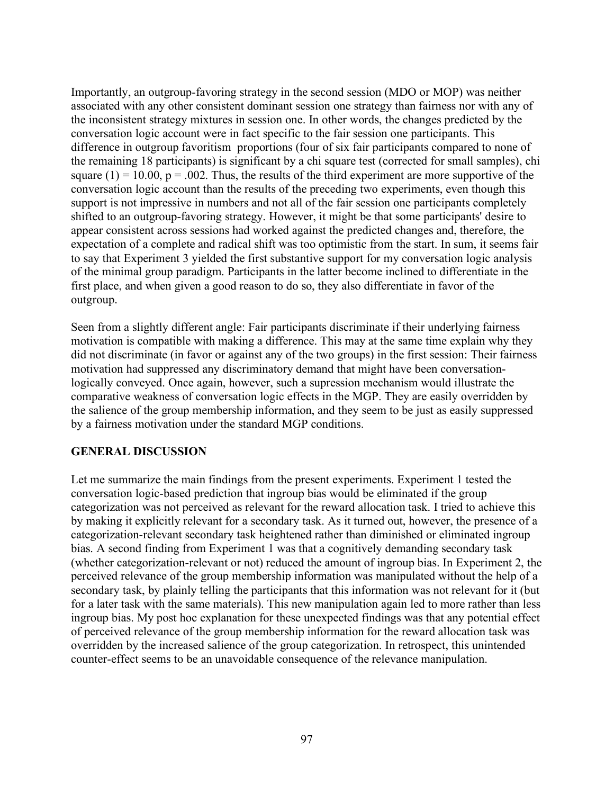Importantly, an outgroup-favoring strategy in the second session (MDO or MOP) was neither associated with any other consistent dominant session one strategy than fairness nor with any of the inconsistent strategy mixtures in session one. In other words, the changes predicted by the conversation logic account were in fact specific to the fair session one participants. This difference in outgroup favoritism proportions (four of six fair participants compared to none of the remaining 18 participants) is significant by a chi square test (corrected for small samples), chi square  $(1) = 10.00$ ,  $p = 0.002$ . Thus, the results of the third experiment are more supportive of the conversation logic account than the results of the preceding two experiments, even though this support is not impressive in numbers and not all of the fair session one participants completely shifted to an outgroup-favoring strategy. However, it might be that some participants' desire to appear consistent across sessions had worked against the predicted changes and, therefore, the expectation of a complete and radical shift was too optimistic from the start. In sum, it seems fair to say that Experiment 3 yielded the first substantive support for my conversation logic analysis of the minimal group paradigm. Participants in the latter become inclined to differentiate in the first place, and when given a good reason to do so, they also differentiate in favor of the outgroup.

Seen from a slightly different angle: Fair participants discriminate if their underlying fairness motivation is compatible with making a difference. This may at the same time explain why they did not discriminate (in favor or against any of the two groups) in the first session: Their fairness motivation had suppressed any discriminatory demand that might have been conversationlogically conveyed. Once again, however, such a supression mechanism would illustrate the comparative weakness of conversation logic effects in the MGP. They are easily overridden by the salience of the group membership information, and they seem to be just as easily suppressed by a fairness motivation under the standard MGP conditions.

#### **GENERAL DISCUSSION**

Let me summarize the main findings from the present experiments. Experiment 1 tested the conversation logic-based prediction that ingroup bias would be eliminated if the group categorization was not perceived as relevant for the reward allocation task. I tried to achieve this by making it explicitly relevant for a secondary task. As it turned out, however, the presence of a categorization-relevant secondary task heightened rather than diminished or eliminated ingroup bias. A second finding from Experiment 1 was that a cognitively demanding secondary task (whether categorization-relevant or not) reduced the amount of ingroup bias. In Experiment 2, the perceived relevance of the group membership information was manipulated without the help of a secondary task, by plainly telling the participants that this information was not relevant for it (but for a later task with the same materials). This new manipulation again led to more rather than less ingroup bias. My post hoc explanation for these unexpected findings was that any potential effect of perceived relevance of the group membership information for the reward allocation task was overridden by the increased salience of the group categorization. In retrospect, this unintended counter-effect seems to be an unavoidable consequence of the relevance manipulation.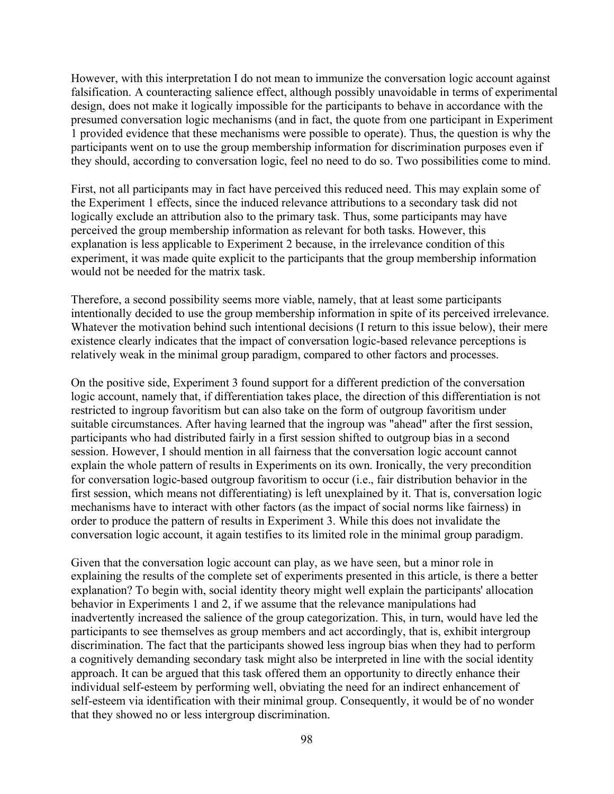However, with this interpretation I do not mean to immunize the conversation logic account against falsification. A counteracting salience effect, although possibly unavoidable in terms of experimental design, does not make it logically impossible for the participants to behave in accordance with the presumed conversation logic mechanisms (and in fact, the quote from one participant in Experiment 1 provided evidence that these mechanisms were possible to operate). Thus, the question is why the participants went on to use the group membership information for discrimination purposes even if they should, according to conversation logic, feel no need to do so. Two possibilities come to mind.

First, not all participants may in fact have perceived this reduced need. This may explain some of the Experiment 1 effects, since the induced relevance attributions to a secondary task did not logically exclude an attribution also to the primary task. Thus, some participants may have perceived the group membership information as relevant for both tasks. However, this explanation is less applicable to Experiment 2 because, in the irrelevance condition of this experiment, it was made quite explicit to the participants that the group membership information would not be needed for the matrix task.

Therefore, a second possibility seems more viable, namely, that at least some participants intentionally decided to use the group membership information in spite of its perceived irrelevance. Whatever the motivation behind such intentional decisions (I return to this issue below), their mere existence clearly indicates that the impact of conversation logic-based relevance perceptions is relatively weak in the minimal group paradigm, compared to other factors and processes.

On the positive side, Experiment 3 found support for a different prediction of the conversation logic account, namely that, if differentiation takes place, the direction of this differentiation is not restricted to ingroup favoritism but can also take on the form of outgroup favoritism under suitable circumstances. After having learned that the ingroup was "ahead" after the first session, participants who had distributed fairly in a first session shifted to outgroup bias in a second session. However, I should mention in all fairness that the conversation logic account cannot explain the whole pattern of results in Experiments on its own. Ironically, the very precondition for conversation logic-based outgroup favoritism to occur (i.e., fair distribution behavior in the first session, which means not differentiating) is left unexplained by it. That is, conversation logic mechanisms have to interact with other factors (as the impact of social norms like fairness) in order to produce the pattern of results in Experiment 3. While this does not invalidate the conversation logic account, it again testifies to its limited role in the minimal group paradigm.

Given that the conversation logic account can play, as we have seen, but a minor role in explaining the results of the complete set of experiments presented in this article, is there a better explanation? To begin with, social identity theory might well explain the participants' allocation behavior in Experiments 1 and 2, if we assume that the relevance manipulations had inadvertently increased the salience of the group categorization. This, in turn, would have led the participants to see themselves as group members and act accordingly, that is, exhibit intergroup discrimination. The fact that the participants showed less ingroup bias when they had to perform a cognitively demanding secondary task might also be interpreted in line with the social identity approach. It can be argued that this task offered them an opportunity to directly enhance their individual self-esteem by performing well, obviating the need for an indirect enhancement of self-esteem via identification with their minimal group. Consequently, it would be of no wonder that they showed no or less intergroup discrimination.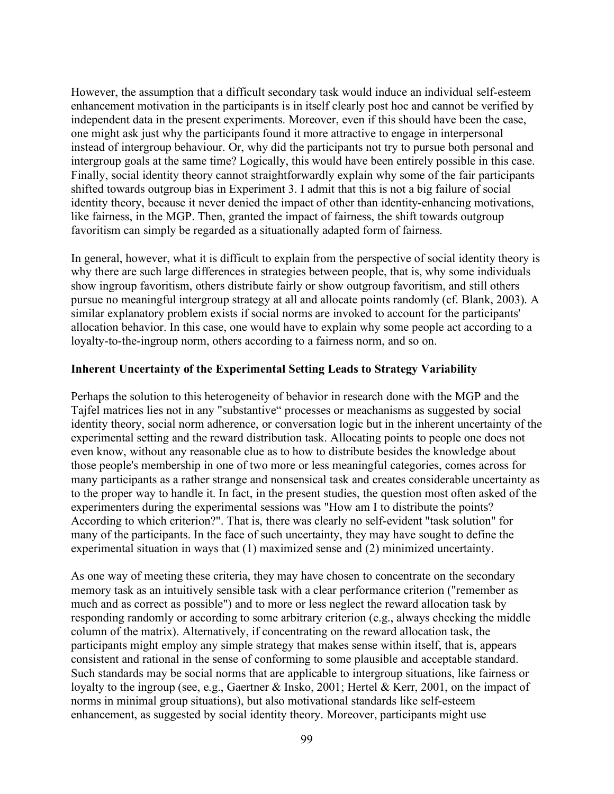However, the assumption that a difficult secondary task would induce an individual self-esteem enhancement motivation in the participants is in itself clearly post hoc and cannot be verified by independent data in the present experiments. Moreover, even if this should have been the case, one might ask just why the participants found it more attractive to engage in interpersonal instead of intergroup behaviour. Or, why did the participants not try to pursue both personal and intergroup goals at the same time? Logically, this would have been entirely possible in this case. Finally, social identity theory cannot straightforwardly explain why some of the fair participants shifted towards outgroup bias in Experiment 3. I admit that this is not a big failure of social identity theory, because it never denied the impact of other than identity-enhancing motivations, like fairness, in the MGP. Then, granted the impact of fairness, the shift towards outgroup favoritism can simply be regarded as a situationally adapted form of fairness.

In general, however, what it is difficult to explain from the perspective of social identity theory is why there are such large differences in strategies between people, that is, why some individuals show ingroup favoritism, others distribute fairly or show outgroup favoritism, and still others pursue no meaningful intergroup strategy at all and allocate points randomly (cf. Blank, 2003). A similar explanatory problem exists if social norms are invoked to account for the participants' allocation behavior. In this case, one would have to explain why some people act according to a loyalty-to-the-ingroup norm, others according to a fairness norm, and so on.

#### **Inherent Uncertainty of the Experimental Setting Leads to Strategy Variability**

Perhaps the solution to this heterogeneity of behavior in research done with the MGP and the Tajfel matrices lies not in any "substantive" processes or meachanisms as suggested by social identity theory, social norm adherence, or conversation logic but in the inherent uncertainty of the experimental setting and the reward distribution task. Allocating points to people one does not even know, without any reasonable clue as to how to distribute besides the knowledge about those people's membership in one of two more or less meaningful categories, comes across for many participants as a rather strange and nonsensical task and creates considerable uncertainty as to the proper way to handle it. In fact, in the present studies, the question most often asked of the experimenters during the experimental sessions was "How am I to distribute the points? According to which criterion?". That is, there was clearly no self-evident "task solution" for many of the participants. In the face of such uncertainty, they may have sought to define the experimental situation in ways that (1) maximized sense and (2) minimized uncertainty.

As one way of meeting these criteria, they may have chosen to concentrate on the secondary memory task as an intuitively sensible task with a clear performance criterion ("remember as much and as correct as possible") and to more or less neglect the reward allocation task by responding randomly or according to some arbitrary criterion (e.g., always checking the middle column of the matrix). Alternatively, if concentrating on the reward allocation task, the participants might employ any simple strategy that makes sense within itself, that is, appears consistent and rational in the sense of conforming to some plausible and acceptable standard. Such standards may be social norms that are applicable to intergroup situations, like fairness or loyalty to the ingroup (see, e.g., Gaertner & Insko, 2001; Hertel & Kerr, 2001, on the impact of norms in minimal group situations), but also motivational standards like self-esteem enhancement, as suggested by social identity theory. Moreover, participants might use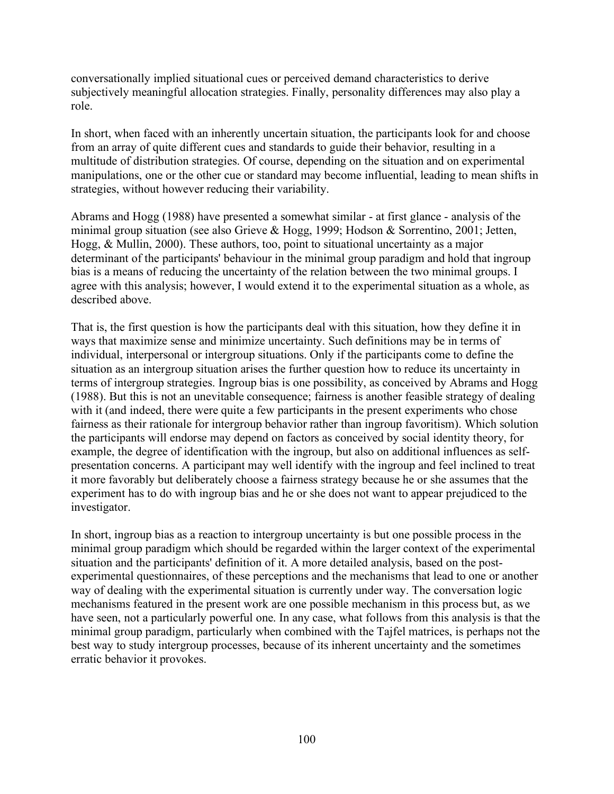conversationally implied situational cues or perceived demand characteristics to derive subjectively meaningful allocation strategies. Finally, personality differences may also play a role.

In short, when faced with an inherently uncertain situation, the participants look for and choose from an array of quite different cues and standards to guide their behavior, resulting in a multitude of distribution strategies. Of course, depending on the situation and on experimental manipulations, one or the other cue or standard may become influential, leading to mean shifts in strategies, without however reducing their variability.

Abrams and Hogg (1988) have presented a somewhat similar - at first glance - analysis of the minimal group situation (see also Grieve & Hogg, 1999; Hodson & Sorrentino, 2001; Jetten, Hogg, & Mullin, 2000). These authors, too, point to situational uncertainty as a major determinant of the participants' behaviour in the minimal group paradigm and hold that ingroup bias is a means of reducing the uncertainty of the relation between the two minimal groups. I agree with this analysis; however, I would extend it to the experimental situation as a whole, as described above.

That is, the first question is how the participants deal with this situation, how they define it in ways that maximize sense and minimize uncertainty. Such definitions may be in terms of individual, interpersonal or intergroup situations. Only if the participants come to define the situation as an intergroup situation arises the further question how to reduce its uncertainty in terms of intergroup strategies. Ingroup bias is one possibility, as conceived by Abrams and Hogg (1988). But this is not an unevitable consequence; fairness is another feasible strategy of dealing with it (and indeed, there were quite a few participants in the present experiments who chose fairness as their rationale for intergroup behavior rather than ingroup favoritism). Which solution the participants will endorse may depend on factors as conceived by social identity theory, for example, the degree of identification with the ingroup, but also on additional influences as selfpresentation concerns. A participant may well identify with the ingroup and feel inclined to treat it more favorably but deliberately choose a fairness strategy because he or she assumes that the experiment has to do with ingroup bias and he or she does not want to appear prejudiced to the investigator.

In short, ingroup bias as a reaction to intergroup uncertainty is but one possible process in the minimal group paradigm which should be regarded within the larger context of the experimental situation and the participants' definition of it. A more detailed analysis, based on the postexperimental questionnaires, of these perceptions and the mechanisms that lead to one or another way of dealing with the experimental situation is currently under way. The conversation logic mechanisms featured in the present work are one possible mechanism in this process but, as we have seen, not a particularly powerful one. In any case, what follows from this analysis is that the minimal group paradigm, particularly when combined with the Tajfel matrices, is perhaps not the best way to study intergroup processes, because of its inherent uncertainty and the sometimes erratic behavior it provokes.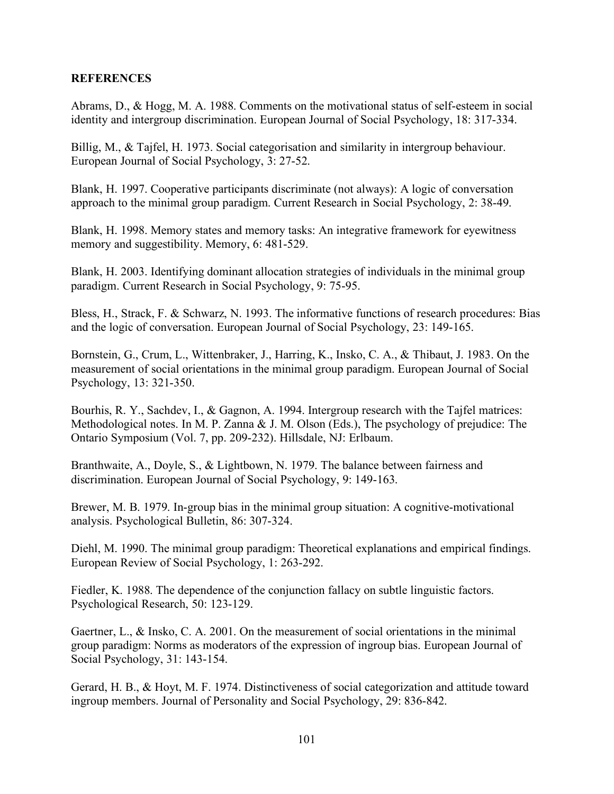## **REFERENCES**

Abrams, D., & Hogg, M. A. 1988. Comments on the motivational status of self-esteem in social identity and intergroup discrimination. European Journal of Social Psychology, 18: 317-334.

Billig, M., & Tajfel, H. 1973. Social categorisation and similarity in intergroup behaviour. European Journal of Social Psychology, 3: 27-52.

Blank, H. 1997. Cooperative participants discriminate (not always): A logic of conversation approach to the minimal group paradigm. Current Research in Social Psychology, 2: 38-49.

Blank, H. 1998. Memory states and memory tasks: An integrative framework for eyewitness memory and suggestibility. Memory, 6: 481-529.

Blank, H. 2003. Identifying dominant allocation strategies of individuals in the minimal group paradigm. Current Research in Social Psychology, 9: 75-95.

Bless, H., Strack, F. & Schwarz, N. 1993. The informative functions of research procedures: Bias and the logic of conversation. European Journal of Social Psychology, 23: 149-165.

Bornstein, G., Crum, L., Wittenbraker, J., Harring, K., Insko, C. A., & Thibaut, J. 1983. On the measurement of social orientations in the minimal group paradigm. European Journal of Social Psychology, 13: 321-350.

Bourhis, R. Y., Sachdev, I., & Gagnon, A. 1994. Intergroup research with the Tajfel matrices: Methodological notes. In M. P. Zanna & J. M. Olson (Eds.), The psychology of prejudice: The Ontario Symposium (Vol. 7, pp. 209-232). Hillsdale, NJ: Erlbaum.

Branthwaite, A., Doyle, S., & Lightbown, N. 1979. The balance between fairness and discrimination. European Journal of Social Psychology, 9: 149-163.

Brewer, M. B. 1979. In-group bias in the minimal group situation: A cognitive-motivational analysis. Psychological Bulletin, 86: 307-324.

Diehl, M. 1990. The minimal group paradigm: Theoretical explanations and empirical findings. European Review of Social Psychology, 1: 263-292.

Fiedler, K. 1988. The dependence of the conjunction fallacy on subtle linguistic factors. Psychological Research, 50: 123-129.

Gaertner, L., & Insko, C. A. 2001. On the measurement of social orientations in the minimal group paradigm: Norms as moderators of the expression of ingroup bias. European Journal of Social Psychology, 31: 143-154.

Gerard, H. B., & Hoyt, M. F. 1974. Distinctiveness of social categorization and attitude toward ingroup members. Journal of Personality and Social Psychology, 29: 836-842.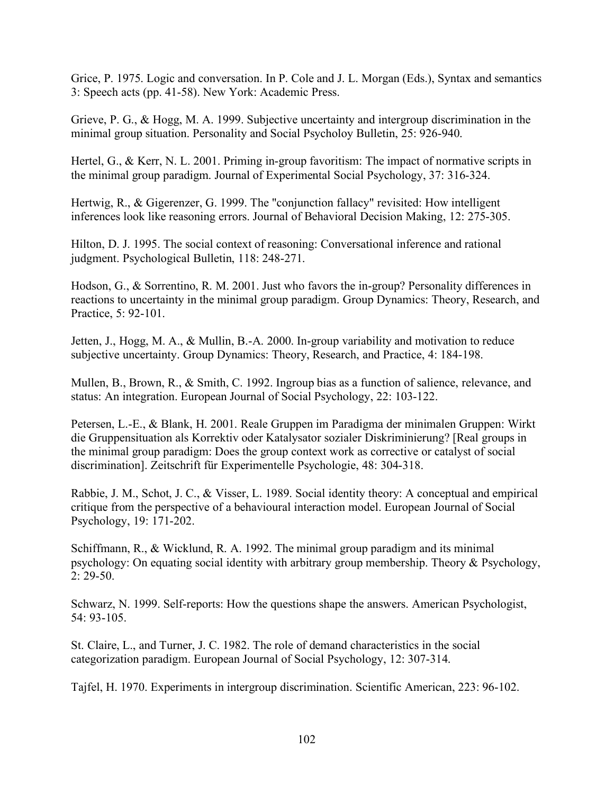Grice, P. 1975. Logic and conversation. In P. Cole and J. L. Morgan (Eds.), Syntax and semantics 3: Speech acts (pp. 41-58). New York: Academic Press.

Grieve, P. G., & Hogg, M. A. 1999. Subjective uncertainty and intergroup discrimination in the minimal group situation. Personality and Social Psycholoy Bulletin, 25: 926-940.

Hertel, G., & Kerr, N. L. 2001. Priming in-group favoritism: The impact of normative scripts in the minimal group paradigm. Journal of Experimental Social Psychology, 37: 316-324.

Hertwig, R., & Gigerenzer, G. 1999. The "conjunction fallacy" revisited: How intelligent inferences look like reasoning errors. Journal of Behavioral Decision Making, 12: 275-305.

Hilton, D. J. 1995. The social context of reasoning: Conversational inference and rational judgment. Psychological Bulletin, 118: 248-271.

Hodson, G., & Sorrentino, R. M. 2001. Just who favors the in-group? Personality differences in reactions to uncertainty in the minimal group paradigm. Group Dynamics: Theory, Research, and Practice, 5: 92-101.

Jetten, J., Hogg, M. A., & Mullin, B.-A. 2000. In-group variability and motivation to reduce subjective uncertainty. Group Dynamics: Theory, Research, and Practice, 4: 184-198.

Mullen, B., Brown, R., & Smith, C. 1992. Ingroup bias as a function of salience, relevance, and status: An integration. European Journal of Social Psychology, 22: 103-122.

Petersen, L.-E., & Blank, H. 2001. Reale Gruppen im Paradigma der minimalen Gruppen: Wirkt die Gruppensituation als Korrektiv oder Katalysator sozialer Diskriminierung? [Real groups in the minimal group paradigm: Does the group context work as corrective or catalyst of social discrimination]. Zeitschrift für Experimentelle Psychologie, 48: 304-318.

Rabbie, J. M., Schot, J. C., & Visser, L. 1989. Social identity theory: A conceptual and empirical critique from the perspective of a behavioural interaction model. European Journal of Social Psychology, 19: 171-202.

Schiffmann, R., & Wicklund, R. A. 1992. The minimal group paradigm and its minimal psychology: On equating social identity with arbitrary group membership. Theory & Psychology, 2: 29-50.

Schwarz, N. 1999. Self-reports: How the questions shape the answers. American Psychologist, 54: 93-105.

St. Claire, L., and Turner, J. C. 1982. The role of demand characteristics in the social categorization paradigm. European Journal of Social Psychology, 12: 307-314.

Tajfel, H. 1970. Experiments in intergroup discrimination. Scientific American, 223: 96-102.